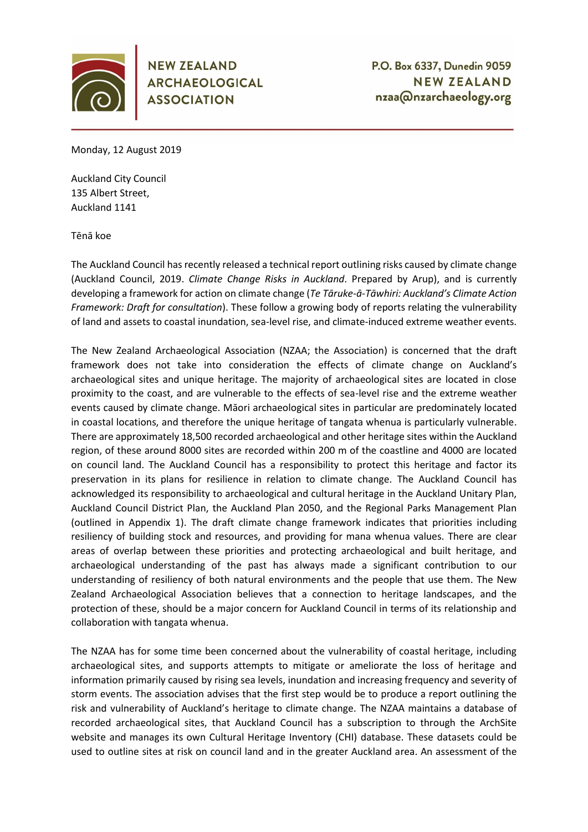

**NEW ZEALAND ARCHAEOLOGICAL ASSOCIATION** 

Monday, 12 August 2019

Auckland City Council 135 Albert Street, Auckland 1141

Tēnā koe

The Auckland Council has recently released a technical report outlining risks caused by climate change (Auckland Council, 2019. *Climate Change Risks in Auckland*. Prepared by Arup), and is currently developing a framework for action on climate change (*Te Tāruke-ā-Tāwhiri: Auckland's Climate Action Framework: Draft for consultation*). These follow a growing body of reports relating the vulnerability of land and assets to coastal inundation, sea-level rise, and climate-induced extreme weather events.

The New Zealand Archaeological Association (NZAA; the Association) is concerned that the draft framework does not take into consideration the effects of climate change on Auckland's archaeological sites and unique heritage. The majority of archaeological sites are located in close proximity to the coast, and are vulnerable to the effects of sea-level rise and the extreme weather events caused by climate change. Māori archaeological sites in particular are predominately located in coastal locations, and therefore the unique heritage of tangata whenua is particularly vulnerable. There are approximately 18,500 recorded archaeological and other heritage sites within the Auckland region, of these around 8000 sites are recorded within 200 m of the coastline and 4000 are located on council land. The Auckland Council has a responsibility to protect this heritage and factor its preservation in its plans for resilience in relation to climate change. The Auckland Council has acknowledged its responsibility to archaeological and cultural heritage in the Auckland Unitary Plan, Auckland Council District Plan, the Auckland Plan 2050, and the Regional Parks Management Plan (outlined in Appendix 1). The draft climate change framework indicates that priorities including resiliency of building stock and resources, and providing for mana whenua values. There are clear areas of overlap between these priorities and protecting archaeological and built heritage, and archaeological understanding of the past has always made a significant contribution to our understanding of resiliency of both natural environments and the people that use them. The New Zealand Archaeological Association believes that a connection to heritage landscapes, and the protection of these, should be a major concern for Auckland Council in terms of its relationship and collaboration with tangata whenua.

The NZAA has for some time been concerned about the vulnerability of coastal heritage, including archaeological sites, and supports attempts to mitigate or ameliorate the loss of heritage and information primarily caused by rising sea levels, inundation and increasing frequency and severity of storm events. The association advises that the first step would be to produce a report outlining the risk and vulnerability of Auckland's heritage to climate change. The NZAA maintains a database of recorded archaeological sites, that Auckland Council has a subscription to through the ArchSite website and manages its own Cultural Heritage Inventory (CHI) database. These datasets could be used to outline sites at risk on council land and in the greater Auckland area. An assessment of the